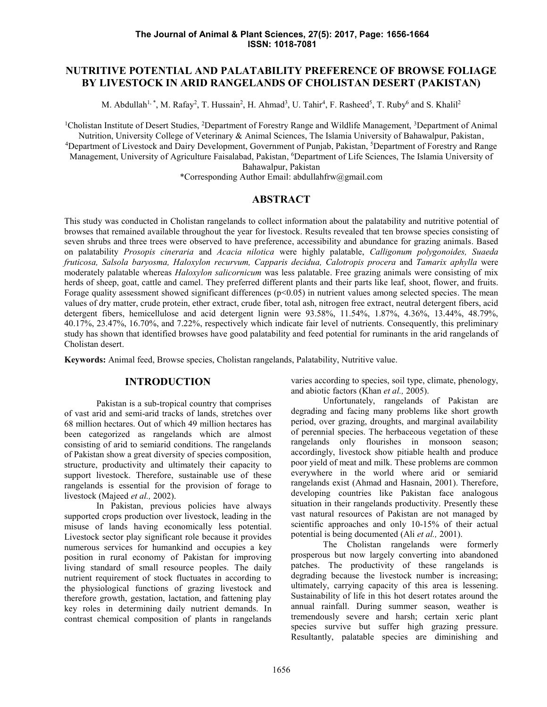# **NUTRITIVE POTENTIAL AND PALATABILITY PREFERENCE OF BROWSE FOLIAGE BY LIVESTOCK IN ARID RANGELANDS OF CHOLISTAN DESERT (PAKISTAN)**

M. Abdullah<sup>1,\*</sup>, M. Rafay<sup>2</sup>, T. Hussain<sup>2</sup>, H. Ahmad<sup>3</sup>, U. Tahir<sup>4</sup>, F. Rasheed<sup>5</sup>, T. Ruby<sup>6</sup> and S. Khalil<sup>2</sup>

<sup>1</sup>Cholistan Institute of Desert Studies, <sup>2</sup>Department of Forestry Range and Wildlife Management, <sup>3</sup>Department of Animal Nutrition, University College of Veterinary & Animal Sciences, The Islamia University of Bahawalpur, Pakistan, <sup>4</sup>Department of Livestock and Dairy Development, Government of Punjab, Pakistan, <sup>5</sup>Department of Forestry and Range Management, University of Agriculture Faisalabad, Pakistan, <sup>6</sup>Department of Life Sciences, The Islamia University of Bahawalpur, Pakistan

\*Corresponding Author Email: abdullahfrw@gmail.com

# **ABSTRACT**

This study was conducted in Cholistan rangelands to collect information about the palatability and nutritive potential of browses that remained available throughout the year for livestock. Results revealed that ten browse species consisting of seven shrubs and three trees were observed to have preference, accessibility and abundance for grazing animals. Based on palatability *Prosopis cineraria* and *Acacia nilotica* were highly palatable, *Calligonum polygonoides, Suaeda fruticosa, Salsola baryosma, Haloxylon recurvum, Capparis decidua, Calotropis procera* and *Tamarix aphylla* were moderately palatable whereas *Haloxylon salicornicum* was less palatable. Free grazing animals were consisting of mix herds of sheep, goat, cattle and camel. They preferred different plants and their parts like leaf, shoot, flower, and fruits. Forage quality assessment showed significant differences (p<0.05) in nutrient values among selected species. The mean values of dry matter, crude protein, ether extract, crude fiber, total ash, nitrogen free extract, neutral detergent fibers, acid detergent fibers, hemicellulose and acid detergent lignin were 93.58%, 11.54%, 1.87%, 4.36%, 13.44%, 48.79%, 40.17%, 23.47%, 16.70%, and 7.22%, respectively which indicate fair level of nutrients. Consequently, this preliminary study has shown that identified browses have good palatability and feed potential for ruminants in the arid rangelands of Cholistan desert.

**Keywords:** Animal feed, Browse species, Cholistan rangelands, Palatability, Nutritive value.

## **INTRODUCTION**

Pakistan is a sub-tropical country that comprises of vast arid and semi-arid tracks of lands, stretches over 68 million hectares. Out of which 49 million hectares has been categorized as rangelands which are almost consisting of arid to semiarid conditions. The rangelands of Pakistan show a great diversity of species composition, structure, productivity and ultimately their capacity to support livestock. Therefore, sustainable use of these rangelands is essential for the provision of forage to livestock (Majeed *et al.,* 2002).

In Pakistan, previous policies have always supported crops production over livestock, leading in the misuse of lands having economically less potential. Livestock sector play significant role because it provides numerous services for humankind and occupies a key position in rural economy of Pakistan for improving living standard of small resource peoples. The daily nutrient requirement of stock fluctuates in according to the physiological functions of grazing livestock and therefore growth, gestation, lactation, and fattening play key roles in determining daily nutrient demands. In contrast chemical composition of plants in rangelands varies according to species, soil type, climate, phenology, and abiotic factors (Khan *et al.,* 2005).

Unfortunately, rangelands of Pakistan are degrading and facing many problems like short growth period, over grazing, droughts, and marginal availability of perennial species. The herbaceous vegetation of these rangelands only flourishes in monsoon season; accordingly, livestock show pitiable health and produce poor yield of meat and milk. These problems are common everywhere in the world where arid or semiarid rangelands exist (Ahmad and Hasnain, 2001). Therefore, developing countries like Pakistan face analogous situation in their rangelands productivity. Presently these vast natural resources of Pakistan are not managed by scientific approaches and only 10-15% of their actual potential is being documented (Ali *et al.,* 2001).

The Cholistan rangelands were formerly prosperous but now largely converting into abandoned patches. The productivity of these rangelands is degrading because the livestock number is increasing; ultimately, carrying capacity of this area is lessening. Sustainability of life in this hot desert rotates around the annual rainfall. During summer season, weather is tremendously severe and harsh; certain xeric plant species survive but suffer high grazing pressure. Resultantly, palatable species are diminishing and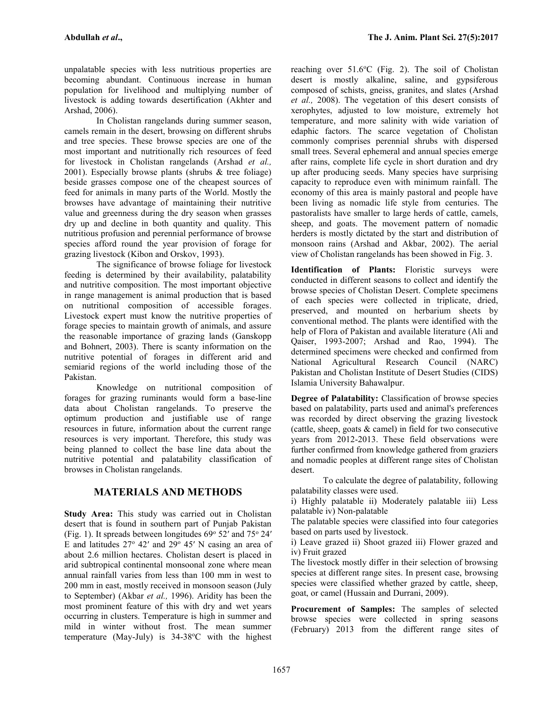unpalatable species with less nutritious properties are becoming abundant. Continuous increase in human population for livelihood and multiplying number of livestock is adding towards desertification (Akhter and Arshad, 2006).

In Cholistan rangelands during summer season, camels remain in the desert, browsing on different shrubs and tree species. These browse species are one of the most important and nutritionally rich resources of feed for livestock in Cholistan rangelands (Arshad *et al.,* 2001). Especially browse plants (shrubs & tree foliage) beside grasses compose one of the cheapest sources of feed for animals in many parts of the World. Mostly the browses have advantage of maintaining their nutritive value and greenness during the dry season when grasses dry up and decline in both quantity and quality. This nutritious profusion and perennial performance of browse species afford round the year provision of forage for grazing livestock (Kibon and Orskov, 1993).

The significance of browse foliage for livestock feeding is determined by their availability, palatability and nutritive composition. The most important objective in range management is animal production that is based on nutritional composition of accessible forages. Livestock expert must know the nutritive properties of forage species to maintain growth of animals, and assure the reasonable importance of grazing lands (Ganskopp and Bohnert, 2003). There is scanty information on the nutritive potential of forages in different arid and semiarid regions of the world including those of the Pakistan.<br>Knowledge on nutritional composition of

forages for grazing ruminants would form a base-line data about Cholistan rangelands. To preserve the optimum production and justifiable use of range resources in future, information about the current range resources is very important. Therefore, this study was being planned to collect the base line data about the nutritive potential and palatability classification of browses in Cholistan rangelands.

# **MATERIALS AND METHODS**

**Study Area:** This study was carried out in Cholistan desert that is found in southern part of Punjab Pakistan (Fig. 1). It spreads between longitudes  $69^{\circ}$  52' and  $75^{\circ}$  24' E and latitudes  $27^{\circ}$  42' and  $29^{\circ}$  45' N casing an area of about 2.6 million hectares. Cholistan desert is placed in arid subtropical continental monsoonal zone where mean annual rainfall varies from less than 100 mm in west to 200 mm in east, mostly received in monsoon season (July to September) (Akbar *et al.,* 1996). Aridity has been the most prominent feature of this with dry and wet years occurring in clusters. Temperature is high in summer and mild in winter without frost. The mean summer temperature (May-July) is  $34-38$ °C with the highest reaching over  $51.6^{\circ}$ C (Fig. 2). The soil of Cholistan desert is mostly alkaline, saline, and gypsiferous composed of schists, gneiss, granites, and slates (Arshad *et al.,* 2008). The vegetation of this desert consists of xerophytes, adjusted to low moisture, extremely hot temperature, and more salinity with wide variation of edaphic factors. The scarce vegetation of Cholistan commonly comprises perennial shrubs with dispersed small trees. Several ephemeral and annual species emerge after rains, complete life cycle in short duration and dry up after producing seeds. Many species have surprising capacity to reproduce even with minimum rainfall. The economy of this area is mainly pastoral and people have been living as nomadic life style from centuries. The pastoralists have smaller to large herds of cattle, camels, sheep, and goats. The movement pattern of nomadic herders is mostly dictated by the start and distribution of monsoon rains (Arshad and Akbar, 2002). The aerial view of Cholistan rangelands has been showed in Fig. 3.

**Identification of Plants:** Floristic surveys were conducted in different seasons to collect and identify the browse species of Cholistan Desert. Complete specimens of each species were collected in triplicate, dried, preserved, and mounted on herbarium sheets by conventional method. The plants were identified with the help of Flora of Pakistan and available literature (Ali and Qaiser, 1993-2007; Arshad and Rao, 1994). The determined specimens were checked and confirmed from National Agricultural Research Council (NARC) Pakistan and Cholistan Institute of Desert Studies (CIDS) Islamia University Bahawalpur.

**Degree of Palatability:** Classification of browse species based on palatability, parts used and animal's preferences was recorded by direct observing the grazing livestock (cattle, sheep, goats  $&$  camel) in field for two consecutive years from 2012-2013. These field observations were further confirmed from knowledge gathered from graziers and nomadic peoples at different range sites of Cholistan desert.

To calculate the degree of palatability, following palatability classes were used.

i) Highly palatable ii) Moderately palatable iii) Less palatable iv) Non-palatable

The palatable species were classified into four categories based on parts used by livestock.

i) Leave grazed ii) Shoot grazed iii) Flower grazed and iv) Fruit grazed

The livestock mostly differ in their selection of browsing species at different range sites. In present case, browsing species were classified whether grazed by cattle, sheep, goat, or camel (Hussain and Durrani, 2009).

**Procurement of Samples:** The samples of selected browse species were collected in spring seasons (February) 2013 from the different range sites of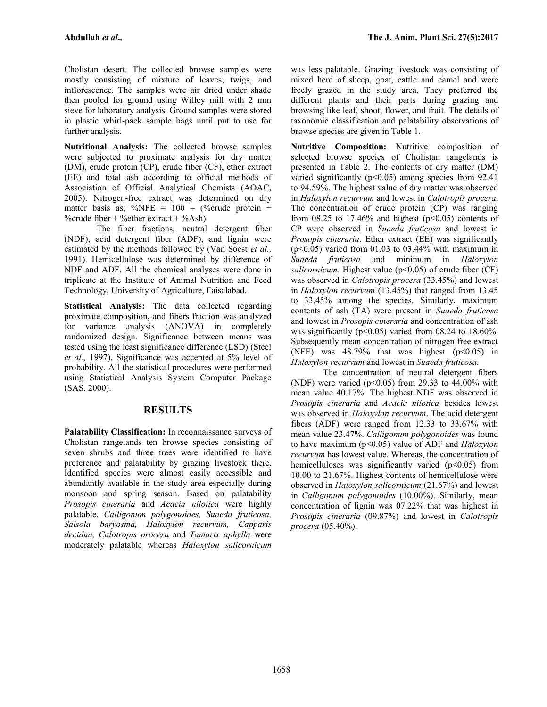Cholistan desert. The collected browse samples were mostly consisting of mixture of leaves, twigs, and inflorescence. The samples were air dried under shade then pooled for ground using Willey mill with 2 mm sieve for laboratory analysis. Ground samples were stored in plastic whirl-pack sample bags until put to use for further analysis.

**Nutritional Analysis:** The collected browse samples were subjected to proximate analysis for dry matter (DM), crude protein (CP), crude fiber (CF), ether extract (EE) and total ash according to official methods of Association of Official Analytical Chemists (AOAC, 2005). Nitrogen-free extract was determined on dry matter basis as; %NFE =  $100 -$  (%crude protein + %crude fiber + % ether extract + % Ash).

The fiber fractions, neutral detergent fiber (NDF), acid detergent fiber (ADF), and lignin were estimated by the methods followed by (Van Soest *et al.,* 1991). Hemicellulose was determined by difference of NDF and ADF. All the chemical analyses were done in triplicate at the Institute of Animal Nutrition and Feed Technology, University of Agriculture, Faisalabad.

**Statistical Analysis:** The data collected regarding proximate composition, and fibers fraction was analyzed for variance analysis (ANOVA) in completely randomized design. Significance between means was tested using the least significance difference (LSD) (Steel *et al.,* 1997). Significance was accepted at 5% level of probability. All the statistical procedures were performed using Statistical Analysis System Computer Package (SAS, 2000).

## **RESULTS**

**Palatability Classification:** In reconnaissance surveys of Cholistan rangelands ten browse species consisting of seven shrubs and three trees were identified to have preference and palatability by grazing livestock there. Identified species were almost easily accessible and abundantly available in the study area especially during monsoon and spring season. Based on palatability *Prosopis cineraria* and *Acacia nilotica* were highly palatable, *Calligonum polygonoides, Suaeda fruticosa, Salsola baryosma, Haloxylon recurvum, Capparis decidua, Calotropis procera* and *Tamarix aphylla* were moderately palatable whereas *Haloxylon salicornicum*

was less palatable. Grazing livestock was consisting of mixed herd of sheep, goat, cattle and camel and were freely grazed in the study area. They preferred the different plants and their parts during grazing and browsing like leaf, shoot, flower, and fruit. The details of taxonomic classification and palatability observations of browse species are given in Table 1.

**Nutritive Composition:** Nutritive composition of selected browse species of Cholistan rangelands is presented in Table 2. The contents of dry matter (DM) varied significantly ( $p$ <0.05) among species from 92.41 to 94.59%. The highest value of dry matter was observed in *Haloxylon recurvum* and lowest in *Calotropis procera*. The concentration of crude protein (CP) was ranging from  $08.25$  to 17.46% and highest ( $p<0.05$ ) contents of CP were observed in *Suaeda fruticosa* and lowest in *Prosopis cineraria*. Ether extract (EE) was significantly  $(p<0.05)$  varied from 01.03 to 03.44% with maximum in *Suaeda fruticosa* and minimum in *Haloxylon* salicornicum. Highest value (p<0.05) of crude fiber (CF) was observed in *Calotropis procera* (33.45%) and lowest in *Haloxylon recurvum* (13.45%) that ranged from 13.45 to 33.45% among the species. Similarly, maximum contents of ash (TA) were present in *Suaeda fruticosa* and lowest in *Prosopis cineraria* and concentration of ash was significantly ( $p<0.05$ ) varied from 08.24 to 18.60%. Subsequently mean concentration of nitrogen free extract (NFE) was  $48.79\%$  that was highest ( $p<0.05$ ) in *Haloxylon recurvum* and lowest in *Suaeda fruticosa.*

The concentration of neutral detergent fibers (NDF) were varied ( $p<0.05$ ) from 29.33 to 44.00% with mean value 40.17%. The highest NDF was observed in *Prosopis cineraria* and *Acacia nilotica* besides lowest was observed in *Haloxylon recurvum*. The acid detergent fibers (ADF) were ranged from 12.33 to 33.67% with mean value 23.47%. *Calligonum polygonoides* was found to have maximum (p<0.05) value of ADF and *Haloxylon recurvum* has lowest value. Whereas, the concentration of hemicelluloses was significantly varied  $(p<0.05)$  from 10.00 to 21.67%. Highest contents of hemicellulose were observed in *Haloxylon salicornicum* (21.67%) and lowest in *Calligonum polygonoides* (10.00%). Similarly, mean concentration of lignin was 07.22% that was highest in *Prosopis cineraria* (09.87%) and lowest in *Calotropis procera* (05.40%).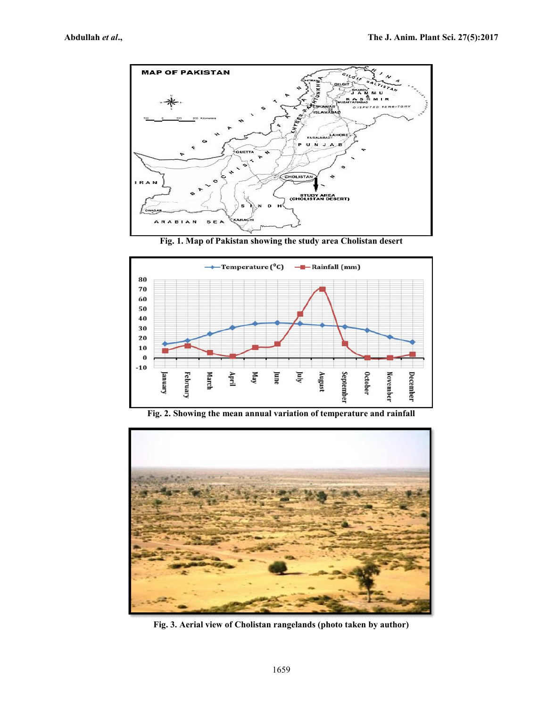

**Fig. 1. Map of Pakistan showing the study area Cholistan desert**



**Fig. 2. Showing the mean annual variation of temperature and rainfall**



**Fig. 3. Aerial view of Cholistan rangelands (photo taken by author)**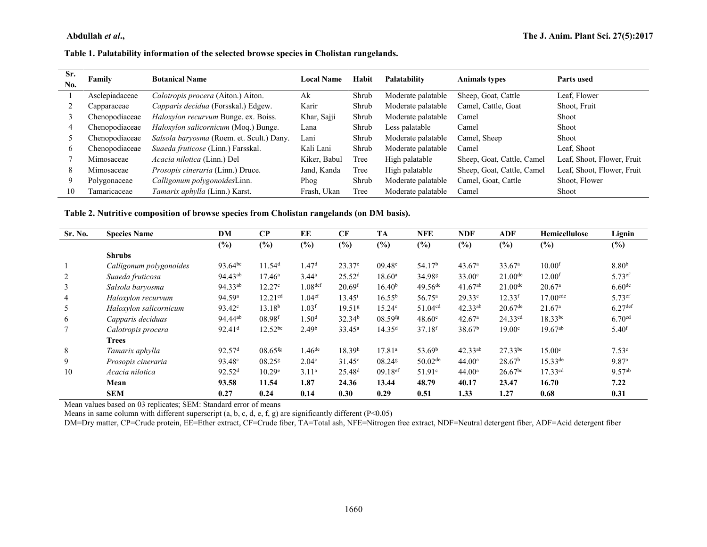## **Abdullah** *et al.*, **The J. Animal Science Science Science Science Science Science Science Science Science Science Science Science Science Science Science Science Science Science Science Science Science Science Science Sc**

### **Table 1. Palatability information of the selected browse species in Cholistan rangelands.**

| Sr.<br>No. | Family         | <b>Botanical Name</b>                       | Local Name   | Habit | Palatability       | <b>Animals types</b>       | Parts used                 |
|------------|----------------|---------------------------------------------|--------------|-------|--------------------|----------------------------|----------------------------|
|            | Asclepiadaceae | Calotropis procera (Aiton.) Aiton.          | Ak           | Shrub | Moderate palatable | Sheep, Goat, Cattle        | Leaf, Flower               |
|            | Capparaceae    | Capparis decidua (Forsskal.) Edgew.         | Karir        | Shrub | Moderate palatable | Camel, Cattle, Goat        | Shoot, Fruit               |
|            | Chenopodiaceae | <i>Haloxylon recurvum</i> Bunge. ex. Boiss. | Khar, Sajji  | Shrub | Moderate palatable | Camel                      | Shoot                      |
| 4          | Chenopodiaceae | <i>Haloxylon salicornicum</i> (Moq.) Bunge. | Lana         | Shrub | Less palatable     | Camel                      | Shoot                      |
|            | Chenopodiaceae | Salsola baryosma (Roem. et. Scult.) Dany.   | Lani         | Shrub | Moderate palatable | Camel, Sheep               | Shoot                      |
| 6.         | Chenopodiaceae | <i>Suaeda fruticose</i> (Linn.) Farsskal.   | Kali Lani    | Shrub | Moderate palatable | Camel                      | Leaf, Shoot                |
|            | Mimosaceae     | <i>Acacia nilotica</i> (Linn.) Del          | Kiker, Babul | Tree  | High palatable     | Sheep, Goat, Cattle, Camel | Leaf, Shoot, Flower, Fruit |
| 8          | Mimosaceae     | <i>Prosopis cineraria</i> (Linn.) Druce.    | Jand, Kanda  | Tree  | High palatable     | Sheep, Goat, Cattle, Camel | Leaf, Shoot, Flower, Fruit |
| 9          | Polygonaceae   | Calligonum polygonoidesLinn.                | Phog         | Shrub | Moderate palatable | Camel, Goat, Cattle        | Shoot, Flower              |
| 10         | Tamaricaceae   | Tamarix aphylla (Linn.) Karst.              | Frash, Ukan  | Tree  | Moderate palatable | Camel                      | Shoot                      |

### **Table 2. Nutritive composition of browse species from Cholistan rangelands (on DM basis).**

| Sr. No. | <b>Species Name</b>     | DM                  | $\bf CP$              | EE                   | CF                   | <b>TA</b>             | <b>NFE</b>           | <b>NDF</b>         | ADF                   | Hemicellulose          | Lignin               |
|---------|-------------------------|---------------------|-----------------------|----------------------|----------------------|-----------------------|----------------------|--------------------|-----------------------|------------------------|----------------------|
|         |                         | $(\%)$              | (%)                   | (%)                  | (%)                  | $(\%)$                | (%)                  | $(\%)$             | (%)                   | (%)                    | $(\%)$               |
|         | <b>Shrubs</b>           |                     |                       |                      |                      |                       |                      |                    |                       |                        |                      |
|         | Calligonum polygonoides | 93.64bc             | 11.54 <sup>d</sup>    | 1.47 <sup>d</sup>    | $23.37^e$            | $09.48^{\circ}$       | 54.17 <sup>b</sup>   | 43.67 <sup>a</sup> | 33.67 <sup>a</sup>    | $10.00$ <sup>f</sup>   | 8.80 <sup>b</sup>    |
| 2       | Suaeda fruticosa        | 94.43 <sup>ab</sup> | $17.46^{\rm a}$       | $3.44^{\rm a}$       | 25.52 <sup>d</sup>   | $18.60^{\rm a}$       | 34.98 <sup>g</sup>   | $33.00^\circ$      | $21.00^{\text{de}}$   | 12.00 <sup>f</sup>     | $5.73$ <sup>ef</sup> |
| 3       | Salsola baryosma        | 94.33ab             | 12.27 <sup>c</sup>    | 1.08 <sup>def</sup>  | $20.69$ <sup>f</sup> | 16.40 <sup>b</sup>    | $49.56^{de}$         | $41.67^{ab}$       | $21.00^{\text{de}}$   | 20.67 <sup>a</sup>     | 6.60 <sup>de</sup>   |
| 4       | Haloxylon recurvum      | 94.59 <sup>a</sup>  | 12.21 <sup>cd</sup>   | 1.04 <sup>ef</sup>   | $13.45^{\rm i}$      | $16.55^{b}$           | $56.75^{\rm a}$      | 29.33c             | 12.33 <sup>f</sup>    | $17.00$ <sup>cde</sup> | $5.73$ <sup>ef</sup> |
| 5       | Haloxylon salicornicum  | $93.42^{\circ}$     | 13.18 <sup>b</sup>    | 1.03 <sup>f</sup>    | 19.51g               | 15.24 <sup>c</sup>    | 51.04 <sup>cd</sup>  | $42.33^{ab}$       | $20.67$ <sup>de</sup> | 21.67 <sup>a</sup>     | 6.27 <sup>def</sup>  |
| 6       | Capparis deciduas       | 94.44 <sup>ab</sup> | 08.98 <sup>f</sup>    | 1.50 <sup>d</sup>    | 32.34 <sup>b</sup>   | $08.59$ <sup>fg</sup> | 48.60e               | 42.67 <sup>a</sup> | 24.33 <sup>cd</sup>   | $18.33^{bc}$           | 6.70 <sup>cd</sup>   |
|         | Calotropis procera      | 92.41 <sup>d</sup>  | $12.52^{bc}$          | 2.49 <sup>b</sup>    | $33.45^a$            | 14.35 <sup>d</sup>    | $37.18$ <sup>f</sup> | 38.67 <sup>b</sup> | 19.00 <sup>e</sup>    | $19.67^{ab}$           | $5.40$ <sup>f</sup>  |
|         | <b>Trees</b>            |                     |                       |                      |                      |                       |                      |                    |                       |                        |                      |
| 8       | Tamarix aphylla         | 92.57 <sup>d</sup>  | $08.65$ <sup>fg</sup> | $1.46$ <sup>de</sup> | 18.39 <sup>h</sup>   | 17.81 <sup>a</sup>    | 53.69 <sup>b</sup>   | $42.33^{ab}$       | $27.33^{bc}$          | 15.00 <sup>e</sup>     | 7.53 <sup>c</sup>    |
| 9       | Prosopis cineraria      | 93.48 <sup>c</sup>  | $08.25$ <sup>g</sup>  | 2.04 <sup>c</sup>    | $31.45^{\circ}$      | 08.24 $s$             | $50.02^{\text{de}}$  | 44.00 <sup>a</sup> | 28.67 <sup>b</sup>    | $15.33^{de}$           | 9.87 <sup>a</sup>    |
| 10      | Acacia nilotica         | 92.52 <sup>d</sup>  | 10.29 <sup>e</sup>    | 3.11 <sup>a</sup>    | 25.48 <sup>d</sup>   | $09.18$ <sup>ef</sup> | 51.91 <sup>c</sup>   | 44.00 <sup>a</sup> | $26.67^{bc}$          | $17.33^{cd}$           | $9.57^{ab}$          |
|         | Mean                    | 93.58               | 11.54                 | 1.87                 | 24.36                | 13.44                 | 48.79                | 40.17              | 23.47                 | 16.70                  | 7.22                 |
|         | <b>SEM</b>              | 0.27                | 0.24                  | 0.14                 | 0.30                 | 0.29                  | 0.51                 | 1.33               | 1.27                  | 0.68                   | 0.31                 |

Mean values based on 03 replicates; SEM: Standard error of means

Means in same column with different superscript (a, b, c, d, e, f, g) are significantly different (P<0.05)

DM=Dry matter, CP=Crude protein, EE=Ether extract, CF=Crude fiber, TA=Total ash, NFE=Nitrogen free extract, NDF=Neutral detergent fiber, ADF=Acid detergent fiber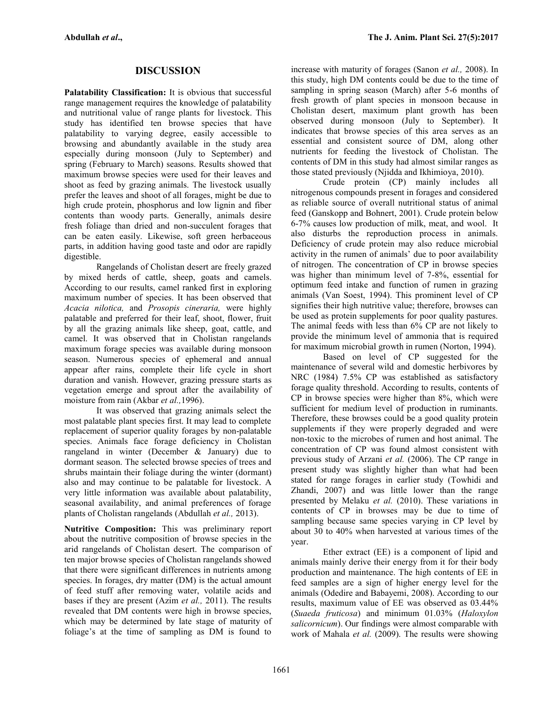# **DISCUSSION**

**Palatability Classification:** It is obvious that successful range management requires the knowledge of palatability and nutritional value of range plants for livestock. This study has identified ten browse species that have palatability to varying degree, easily accessible to browsing and abundantly available in the study area especially during monsoon (July to September) and spring (February to March) seasons. Results showed that maximum browse species were used for their leaves and shoot as feed by grazing animals. The livestock usually prefer the leaves and shoot of all forages, might be due to high crude protein, phosphorus and low lignin and fiber contents than woody parts. Generally, animals desire fresh foliage than dried and non-succulent forages that can be eaten easily. Likewise, soft green herbaceous parts, in addition having good taste and odor are rapidly digestible.<br>Rangelands of Cholistan desert are freely grazed

by mixed herds of cattle, sheep, goats and camels. According to our results, camel ranked first in exploring maximum number of species. It has been observed that *Acacia nilotica,* and *Prosopis cineraria,* were highly palatable and preferred for their leaf, shoot, flower, fruit by all the grazing animals like sheep, goat, cattle, and camel. It was observed that in Cholistan rangelands maximum forage species was available during monsoon season. Numerous species of ephemeral and annual appear after rains, complete their life cycle in short duration and vanish. However, grazing pressure starts as vegetation emerge and sprout after the availability of moisture from rain (Akbar *et al.,*1996).

It was observed that grazing animals select the most palatable plant species first. It may lead to complete replacement of superior quality forages by non-palatable species. Animals face forage deficiency in Cholistan rangeland in winter (December & January) due to dormant season. The selected browse species of trees and shrubs maintain their foliage during the winter (dormant) also and may continue to be palatable for livestock. A very little information was available about palatability, seasonal availability, and animal preferences of forage plants of Cholistan rangelands (Abdullah *et al.,* 2013).

**Nutritive Composition:** This was preliminary report about the nutritive composition of browse species in the arid rangelands of Cholistan desert. The comparison of ten major browse species of Cholistan rangelands showed that there were significant differences in nutrients among species. In forages, dry matter (DM) is the actual amount of feed stuff after removing water, volatile acids and bases if they are present (Azim *et al.,* 2011). The results revealed that DM contents were high in browse species, which may be determined by late stage of maturity of foliage's at the time of sampling as DM is found to

increase with maturity of forages (Sanon *et al.,* 2008). In this study, high DM contents could be due to the time of sampling in spring season (March) after 5-6 months of fresh growth of plant species in monsoon because in Cholistan desert, maximum plant growth has been observed during monsoon (July to September). It indicates that browse species of this area serves as an essential and consistent source of DM, along other nutrients for feeding the livestock of Cholistan. The contents of DM in this study had almost similar ranges as those stated previously (Njidda and Ikhimioya, 2010).

Crude protein (CP) mainly includes all nitrogenous compounds present in forages and considered as reliable source of overall nutritional status of animal feed (Ganskopp and Bohnert, 2001). Crude protein below 6-7% causes low production of milk, meat, and wool. It also disturbs the reproduction process in animals. Deficiency of crude protein may also reduce microbial activity in the rumen of animals' due to poor availability of nitrogen. The concentration of CP in browse species was higher than minimum level of 7-8%, essential for optimum feed intake and function of rumen in grazing animals (Van Soest, 1994). This prominent level of CP signifies their high nutritive value; therefore, browses can be used as protein supplements for poor quality pastures. The animal feeds with less than 6% CP are not likely to provide the minimum level of ammonia that is required for maximum microbial growth in rumen (Norton, 1994).

Based on level of CP suggested for the maintenance of several wild and domestic herbivores by NRC (1984) 7.5% CP was established as satisfactory forage quality threshold. According to results, contents of CP in browse species were higher than 8%, which were sufficient for medium level of production in ruminants. Therefore, these browses could be a good quality protein supplements if they were properly degraded and were non-toxic to the microbes of rumen and host animal. The concentration of CP was found almost consistent with previous study of Arzani *et al.* (2006). The CP range in present study was slightly higher than what had been stated for range forages in earlier study (Towhidi and Zhandi, 2007) and was little lower than the range presented by Melaku *et al.* (2010). These variations in contents of CP in browses may be due to time of sampling because same species varying in CP level by about 30 to 40% when harvested at various times of the year.

Ether extract (EE) is a component of lipid and animals mainly derive their energy from it for their body production and maintenance. The high contents of EE in feed samples are a sign of higher energy level for the animals (Odedire and Babayemi, 2008). According to our results, maximum value of EE was observed as 03.44% (*Suaeda fruticosa*) and minimum 01.03% (*Haloxylon salicornicum*). Our findings were almost comparable with work of Mahala *et al.* (2009). The results were showing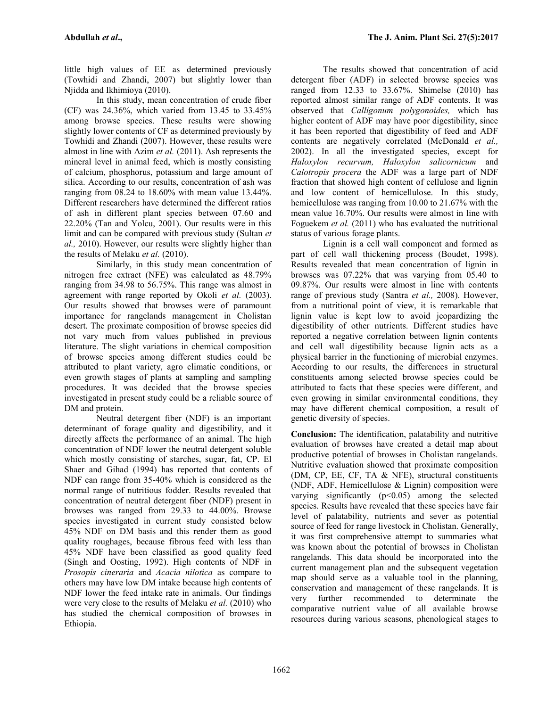little high values of EE as determined previously (Towhidi and Zhandi, 2007) but slightly lower than Njidda and Ikhimioya (2010).

In this study, mean concentration of crude fiber (CF) was 24.36%, which varied from 13.45 to 33.45% among browse species. These results were showing slightly lower contents of CF as determined previously by Towhidi and Zhandi (2007). However, these results were almost in line with Azim *et al.* (2011). Ash represents the mineral level in animal feed, which is mostly consisting of calcium, phosphorus, potassium and large amount of silica. According to our results, concentration of ash was ranging from 08.24 to 18.60% with mean value 13.44%. Different researchers have determined the different ratios of ash in different plant species between 07.60 and 22.20% (Tan and Yolcu, 2001). Our results were in this limit and can be compared with previous study (Sultan *et al.,* 2010). However, our results were slightly higher than the results of Melaku *et al.* (2010).

Similarly, in this study mean concentration of nitrogen free extract (NFE) was calculated as 48.79% ranging from 34.98 to 56.75%. This range was almost in agreement with range reported by Okoli *et al.* (2003). Our results showed that browses were of paramount importance for rangelands management in Cholistan desert. The proximate composition of browse species did not vary much from values published in previous literature. The slight variations in chemical composition of browse species among different studies could be attributed to plant variety, agro climatic conditions, or even growth stages of plants at sampling and sampling procedures. It was decided that the browse species investigated in present study could be a reliable source of DM and protein.

Neutral detergent fiber (NDF) is an important determinant of forage quality and digestibility, and it directly affects the performance of an animal. The high concentration of NDF lower the neutral detergent soluble which mostly consisting of starches, sugar, fat, CP. El Shaer and Gihad (1994) has reported that contents of NDF can range from 35-40% which is considered as the normal range of nutritious fodder. Results revealed that concentration of neutral detergent fiber (NDF) present in browses was ranged from 29.33 to 44.00%. Browse species investigated in current study consisted below 45% NDF on DM basis and this render them as good quality roughages, because fibrous feed with less than 45% NDF have been classified as good quality feed (Singh and Oosting, 1992). High contents of NDF in *Prosopis cineraria* and *Acacia nilotica* as compare to others may have low DM intake because high contents of NDF lower the feed intake rate in animals. Our findings were very close to the results of Melaku *et al.* (2010) who has studied the chemical composition of browses in Ethiopia.

The results showed that concentration of acid detergent fiber (ADF) in selected browse species was ranged from 12.33 to 33.67%. Shimelse (2010) has reported almost similar range of ADF contents. It was observed that *Calligonum polygonoides,* which has higher content of ADF may have poor digestibility, since it has been reported that digestibility of feed and ADF contents are negatively correlated (McDonald *et al.,* 2002). In all the investigated species, except for *Haloxylon recurvum, Haloxylon salicornicum* and *Calotropis procera* the ADF was a large part of NDF fraction that showed high content of cellulose and lignin and low content of hemicellulose. In this study, hemicellulose was ranging from 10.00 to 21.67% with the mean value 16.70%. Our results were almost in line with Foguekem *et al.* (2011) who has evaluated the nutritional status of various forage plants.

Lignin is a cell wall component and formed as part of cell wall thickening process (Boudet, 1998). Results revealed that mean concentration of lignin in browses was 07.22% that was varying from 05.40 to 09.87%. Our results were almost in line with contents range of previous study (Santra *et al.,* 2008). However, from a nutritional point of view, it is remarkable that lignin value is kept low to avoid jeopardizing the digestibility of other nutrients. Different studies have reported a negative correlation between lignin contents and cell wall digestibility because lignin acts as a physical barrier in the functioning of microbial enzymes. According to our results, the differences in structural constituents among selected browse species could be attributed to facts that these species were different, and even growing in similar environmental conditions, they may have different chemical composition, a result of genetic diversity of species.

**Conclusion:** The identification, palatability and nutritive evaluation of browses have created a detail map about productive potential of browses in Cholistan rangelands. Nutritive evaluation showed that proximate composition (DM, CP, EE, CF, TA & NFE), structural constituents (NDF, ADF, Hemicellulose & Lignin) composition were varying significantly  $(p<0.05)$  among the selected species. Results have revealed that these species have fair level of palatability, nutrients and sever as potential source of feed for range livestock in Cholistan. Generally, it was first comprehensive attempt to summaries what was known about the potential of browses in Cholistan rangelands. This data should be incorporated into the current management plan and the subsequent vegetation map should serve as a valuable tool in the planning, conservation and management of these rangelands. It is very further recommended to determinate the comparative nutrient value of all available browse resources during various seasons, phenological stages to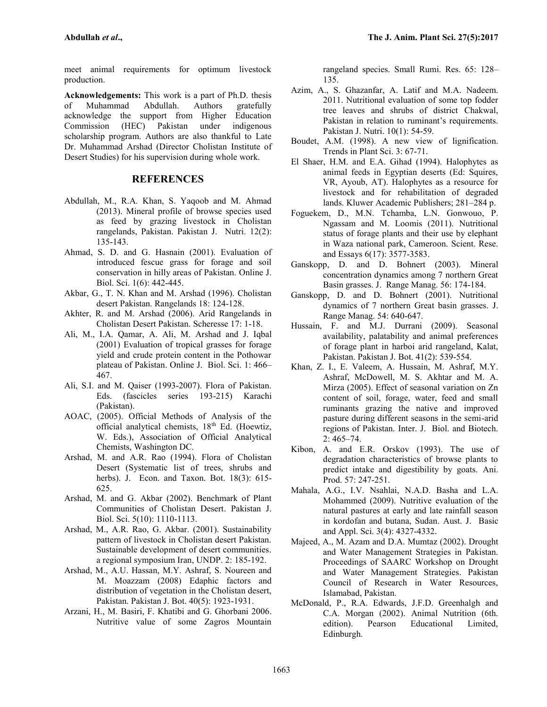meet animal requirements for optimum livestock production.

**Acknowledgements:** This work is a part of Ph.D. thesis of Muhammad Abdullah. Authors gratefully acknowledge the support from Higher Education Commission (HEC) Pakistan under indigenous scholarship program. Authors are also thankful to Late Dr. Muhammad Arshad (Director Cholistan Institute of Desert Studies) for his supervision during whole work.

#### **REFERENCES**

- Abdullah, M., R.A. Khan, S. Yaqoob and M. Ahmad (2013). Mineral profile of browse species used as feed by grazing livestock in Cholistan rangelands, Pakistan. Pakistan J. Nutri. 12(2): 135-143.
- Ahmad, S. D. and G. Hasnain (2001). Evaluation of introduced fescue grass for forage and soil conservation in hilly areas of Pakistan. Online J. Biol. Sci. 1(6): 442-445.
- Akbar, G., T. N. Khan and M. Arshad (1996). Cholistan desert Pakistan. Rangelands 18: 124-128.
- Akhter, R. and M. Arshad (2006). Arid Rangelands in Cholistan Desert Pakistan. Scheresse 17: 1-18.
- Ali, M., I.A. Qamar, A. Ali, M. Arshad and J. Iqbal (2001) Evaluation of tropical grasses for forage yield and crude protein content in the Pothowar plateau of Pakistan. Online J. Biol. Sci. 1: 466– 467.
- Ali, S.I. and M. Qaiser (1993-2007). Flora of Pakistan. Eds. (fascicles series 193-215) Karachi (Pakistan).
- AOAC, (2005). Official Methods of Analysis of the official analytical chemists,  $18<sup>th</sup>$  Ed. (Hoewtiz, W. Eds.), Association of Official Analytical Chemists, Washington DC.
- Arshad, M. and A.R. Rao (1994). Flora of Cholistan Desert (Systematic list of trees, shrubs and herbs). J. Econ. and Taxon. Bot. 18(3): 615- 625.
- Arshad, M. and G. Akbar (2002). Benchmark of Plant Communities of Cholistan Desert. Pakistan J. Biol. Sci. 5(10): 1110-1113.
- Arshad, M., A.R. Rao, G. Akbar. (2001). Sustainability pattern of livestock in Cholistan desert Pakistan. Sustainable development of desert communities. a regional symposium Iran, UNDP. 2: 185-192.
- Arshad, M., A.U. Hassan, M.Y. Ashraf, S. Noureen and M. Moazzam (2008) Edaphic factors and distribution of vegetation in the Cholistan desert, Pakistan. Pakistan J. Bot. 40(5): 1923-1931.
- Arzani, H., M. Basiri, F. Khatibi and G. Ghorbani 2006. Nutritive value of some Zagros Mountain

rangeland species. Small Rumi. Res. 65: 128– 135.

- Azim, A., S. Ghazanfar, A. Latif and M.A. Nadeem. 2011. Nutritional evaluation of some top fodder tree leaves and shrubs of district Chakwal, Pakistan in relation to ruminant's requirements. Pakistan J. Nutri. 10(1): 54-59.
- Boudet, A.M. (1998). A new view of lignification. Trends in Plant Sci. 3: 67-71.
- El Shaer, H.M. and E.A. Gihad (1994). Halophytes as animal feeds in Egyptian deserts (Ed: Squires, VR, Ayoub, AT). Halophytes as a resource for livestock and for rehabilitation of degraded lands. Kluwer Academic Publishers; 281–284 p.
- Foguekem, D., M.N. Tchamba, L.N. Gonwouo, P. Ngassam and M. Loomis (2011). Nutritional status of forage plants and their use by elephant in Waza national park, Cameroon. Scient. Rese. and Essays 6(17): 3577-3583.
- Ganskopp, D. and D. Bohnert (2003). Mineral concentration dynamics among 7 northern Great Basin grasses. J. Range Manag. 56: 174-184.
- Ganskopp, D. and D. Bohnert (2001). Nutritional dynamics of 7 northern Great basin grasses. J. Range Manag. 54: 640-647.
- Hussain, F. and M.J. Durrani (2009). Seasonal availability, palatability and animal preferences of forage plant in harboi arid rangeland, Kalat, Pakistan. Pakistan J. Bot. 41(2): 539-554.
- Khan, Z. I., E. Valeem, A. Hussain, M. Ashraf, M.Y. Ashraf, McDowell, M. S. Akhtar and M. A. Mirza (2005). Effect of seasonal variation on Zn content of soil, forage, water, feed and small ruminants grazing the native and improved pasture during different seasons in the semi-arid regions of Pakistan. Inter. J. Biol. and Biotech.  $2:465 - 74.$
- Kibon, A. and E.R. Orskov (1993). The use of degradation characteristics of browse plants to predict intake and digestibility by goats. Ani. Prod. 57: 247-251.
- Mahala, A.G., I.V. Nsahlai, N.A.D. Basha and L.A. Mohammed (2009). Nutritive evaluation of the natural pastures at early and late rainfall season in kordofan and butana, Sudan. Aust. J. Basic and Appl. Sci. 3(4): 4327-4332.
- Majeed, A., M. Azam and D.A. Mumtaz (2002). Drought and Water Management Strategies in Pakistan. Proceedings of SAARC Workshop on Drought and Water Management Strategies. Pakistan Council of Research in Water Resources, Islamabad, Pakistan.
- McDonald, P., R.A. Edwards, J.F.D. Greenhalgh and C.A. Morgan (2002). Animal Nutrition (6th. edition). Pearson Educational Limited, Edinburgh.